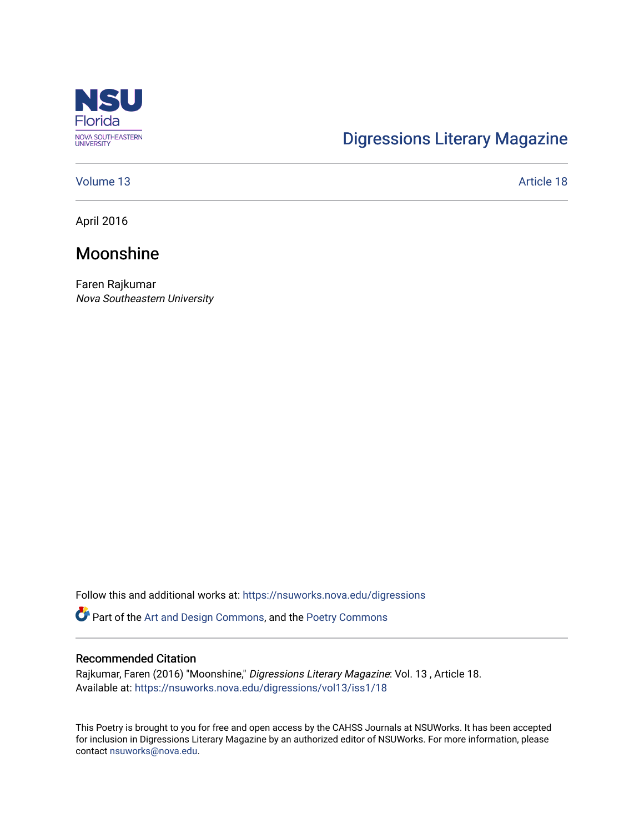

# [Digressions Literary Magazine](https://nsuworks.nova.edu/digressions)

### [Volume 13](https://nsuworks.nova.edu/digressions/vol13) Article 18

April 2016

## Moonshine

Faren Rajkumar Nova Southeastern University

Follow this and additional works at: [https://nsuworks.nova.edu/digressions](https://nsuworks.nova.edu/digressions?utm_source=nsuworks.nova.edu%2Fdigressions%2Fvol13%2Fiss1%2F18&utm_medium=PDF&utm_campaign=PDFCoverPages) 

Part of the [Art and Design Commons](http://network.bepress.com/hgg/discipline/1049?utm_source=nsuworks.nova.edu%2Fdigressions%2Fvol13%2Fiss1%2F18&utm_medium=PDF&utm_campaign=PDFCoverPages), and the [Poetry Commons](http://network.bepress.com/hgg/discipline/1153?utm_source=nsuworks.nova.edu%2Fdigressions%2Fvol13%2Fiss1%2F18&utm_medium=PDF&utm_campaign=PDFCoverPages) 

#### Recommended Citation

Rajkumar, Faren (2016) "Moonshine," Digressions Literary Magazine: Vol. 13 , Article 18. Available at: [https://nsuworks.nova.edu/digressions/vol13/iss1/18](https://nsuworks.nova.edu/digressions/vol13/iss1/18?utm_source=nsuworks.nova.edu%2Fdigressions%2Fvol13%2Fiss1%2F18&utm_medium=PDF&utm_campaign=PDFCoverPages)

This Poetry is brought to you for free and open access by the CAHSS Journals at NSUWorks. It has been accepted for inclusion in Digressions Literary Magazine by an authorized editor of NSUWorks. For more information, please contact [nsuworks@nova.edu.](mailto:nsuworks@nova.edu)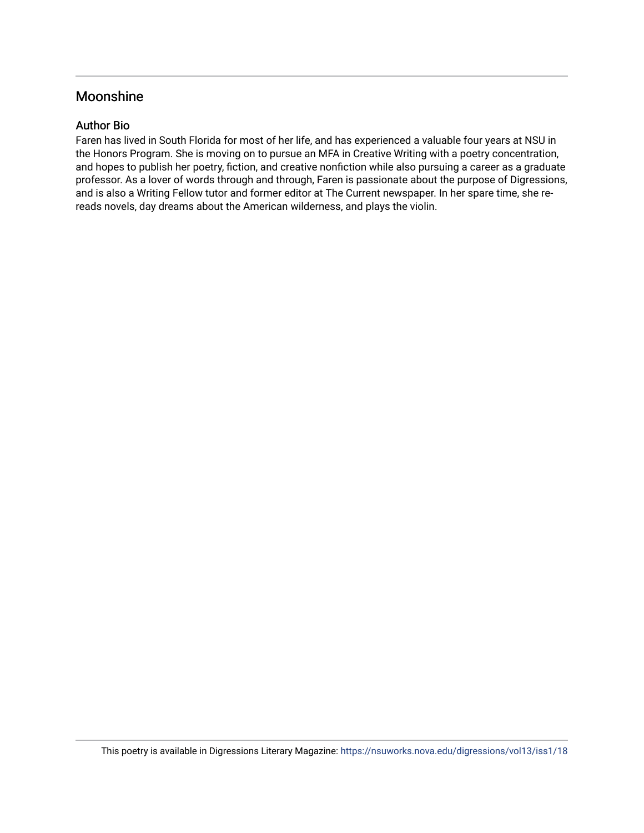## Moonshine

## Author Bio

Faren has lived in South Florida for most of her life, and has experienced a valuable four years at NSU in the Honors Program. She is moving on to pursue an MFA in Creative Writing with a poetry concentration, and hopes to publish her poetry, fiction, and creative nonfiction while also pursuing a career as a graduate professor. As a lover of words through and through, Faren is passionate about the purpose of Digressions, and is also a Writing Fellow tutor and former editor at The Current newspaper. In her spare time, she rereads novels, day dreams about the American wilderness, and plays the violin.